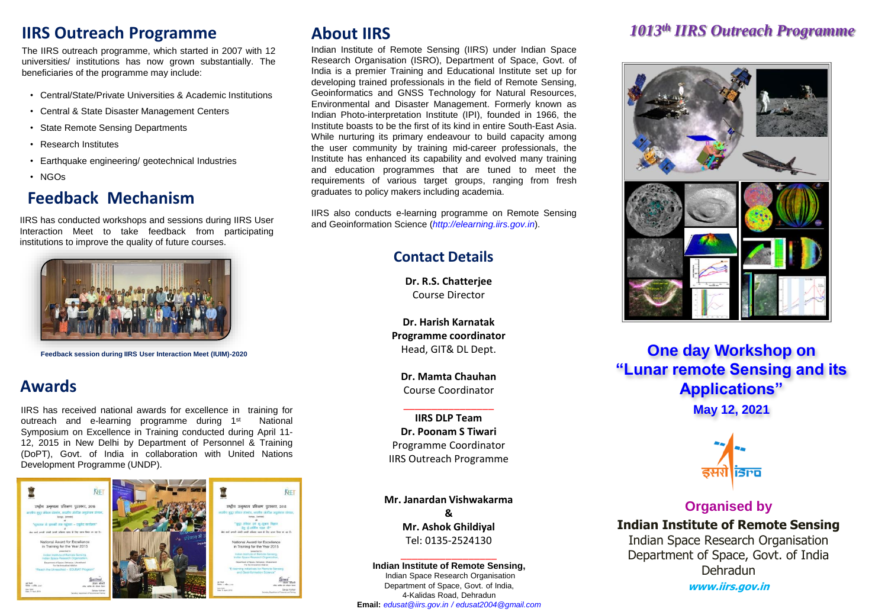# **IIRS Outreach Programme**

The IIRS outreach programme, which started in 2007 with 12 universities/ institutions has now grown substantially. The beneficiaries of the programme may include:

- Central/State/Private Universities & Academic Institutions
- Central & State Disaster Management Centers
- State Remote Sensing Departments
- Research Institutes
- Earthquake engineering/ geotechnical Industries
- NGOs

# **Feedback Mechanism**

IIRS has conducted workshops and sessions during IIRS User Interaction Meet to take feedback from participating institutions to improve the quality of future courses.



**Feedback session during IIRS User Interaction Meet (IUIM)-2020**

## **Awards**

IIRS has received national awards for excellence in training for outreach and e-learning programme during 1<sup>st</sup> National Symposium on Excellence in Training conducted during April 11- 12, 2015 in New Delhi by Department of Personnel & Training (DoPT), Govt. of India in collaboration with United Nations Development Programme (UNDP).



## **About IIRS**

Indian Institute of Remote Sensing (IIRS) under Indian Space Research Organisation (ISRO), Department of Space, Govt. of India is a premier Training and Educational Institute set up for developing trained professionals in the field of Remote Sensing, Geoinformatics and GNSS Technology for Natural Resources, Environmental and Disaster Management. Formerly known as Indian Photo-interpretation Institute (IPI), founded in 1966, the Institute boasts to be the first of its kind in entire South-East Asia. While nurturing its primary endeavour to build capacity among the user community by training mid-career professionals, the Institute has enhanced its capability and evolved many training and education programmes that are tuned to meet the requirements of various target groups, ranging from fresh graduates to policy makers including academia.

IIRS also conducts e-learning programme on Remote Sensing and Geoinformation Science (*http://elearning.iirs.gov.in*).

### **Contact Details**

**Dr. R.S. Chatterjee** Course Director

**Dr. Harish Karnatak Programme coordinator** Head, GIT& DL Dept.

**Dr. Mamta Chauhan** Course Coordinator \_\_\_\_\_\_\_\_\_\_\_\_\_\_\_\_

**IIRS DLP Team Dr. Poonam S Tiwari** Programme Coordinator IIRS Outreach Programme

**Mr. Janardan Vishwakarma & Mr. Ashok Ghildiyal** Tel: 0135-2524130

\_\_\_\_\_\_\_\_\_\_\_\_\_\_\_\_\_ **Indian Institute of Remote Sensing,** Indian Space Research Organisation Department of Space, Govt. of India, 4-Kalidas Road, Dehradun **Email:** *edusat@iirs.gov.in / edusat2004@gmail.com*

## *1013th IIRS Outreach Programme*



**One day Workshop on "Lunar remote Sensing and its Applications" May 12, 2021**



## **Organised by Indian Institute of Remote Sensing** Indian Space Research Organisation Department of Space, Govt. of India Dehradun

**www.iirs.gov.in**